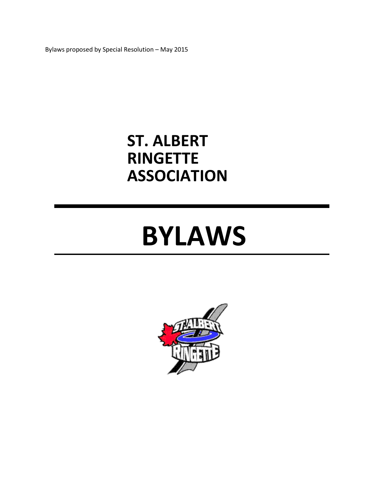Bylaws proposed by Special Resolution – May 2015

# **ST. ALBERT RINGETTE ASSOCIATION**

# **BYLAWS**

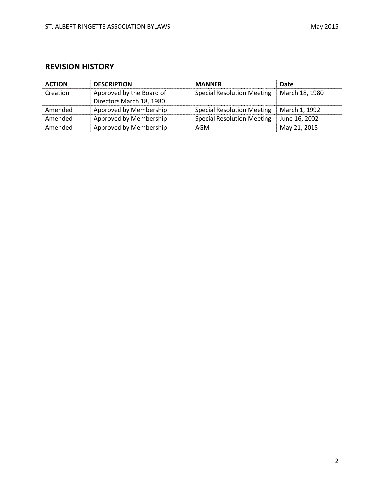# **REVISION HISTORY**

| <b>ACTION</b> | <b>DESCRIPTION</b>       | <b>MANNER</b>                     | Date           |
|---------------|--------------------------|-----------------------------------|----------------|
| Creation      | Approved by the Board of | <b>Special Resolution Meeting</b> | March 18, 1980 |
|               | Directors March 18, 1980 |                                   |                |
| Amended       | Approved by Membership   | <b>Special Resolution Meeting</b> | March 1, 1992  |
| Amended       | Approved by Membership   | <b>Special Resolution Meeting</b> | June 16, 2002  |
| Amended       | Approved by Membership   | AGM                               | May 21, 2015   |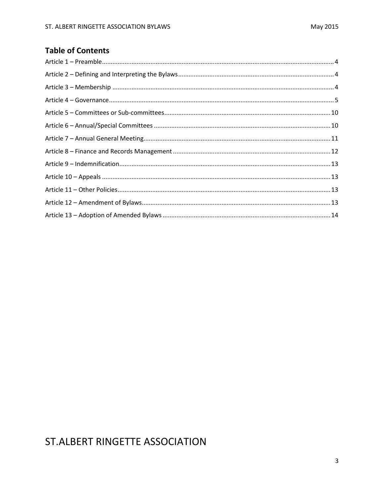# **Table of Contents**

# ST.ALBERT RINGETTE ASSOCIATION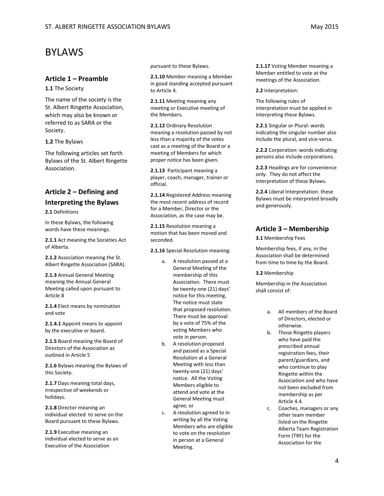#### <span id="page-3-0"></span>**Article 1 – Preamble**

**1.1** The Society

The name of the society is the St. Albert Ringette Association, which may also be known or referred to as SARA or the Society.

**1.2** The Bylaws

The following articles set forth Bylaws of the St. Albert Ringette Association.

# <span id="page-3-1"></span>**Article 2 – Defining and Interpreting the Bylaws**

**2.1** Definitions

In these Bylaws, the following words have these meanings.

**2.1.1** Act meaning the Societies Act of Alberta.

**2.1.2** Association meaning the St. Albert Ringette Association (SARA).

**2.1.3** Annual General Meeting meaning the Annual General Meeting called upon pursuant to Article 8

**2.1.4** Elect means by nomination and vote

**2.1.4.1** Appoint means to appoint by the executive or board.

**2.1.5** Board meaning the Board of Directors of the Association as outlined in Article 5

**2.1.6** Bylaws meaning the Bylaws of this Society.

**2.1.7** Days meaning total days, irrespective of weekends or holidays.

**2.1.8** Director meaning an individual elected to serve on the Board pursuant to these Bylaws.

**2.1.9** Executive meaning an individual elected to serve as an Executive of the Association

pursuant to these Bylaws.

**2.1.10** Member meaning a Member in good standing accepted pursuant to Article 4.

**2.1.11** Meeting meaning any meeting or Executive meeting of the Members.

**2.1.12** Ordinary Resolution meaning a resolution passed by not less than a majority of the votes cast as a meeting of the Board or a meeting of Members for which proper notice has been given.

**2.1.13** Participant meaning a player, coach, manager, trainer or official.

**2.1.14** Registered Address meaning the most recent address of record for a Member, Director or the Association, as the case may be.

**2.1.15** Resolution meaning a motion that has been moved and seconded.

**2.1.16** Special Resolution meaning:

- a. A resolution passed at a General Meeting of the membership of this Association. There must be twenty-one (21) days' notice for this meeting. The notice must state that proposed resolution. There must be approval by a vote of 75% of the voting Members who vote in person.
- b. A resolution proposed and passed as a Special Resolution at a General Meeting with less than twenty-one (21) days' notice. All the Voting Members eligible to attend and vote at the General Meeting must agree; or
- c. A resolution agreed to in writing by all the Voting Members who are eligible to vote on the resolution in person at a General Meeting.

**2.1.17** Voting Member meaning a Member entitled to vote at the meetings of the Association.

**2.2** Interpretation:

The following rules of interpretation must be applied in interpreting these Bylaws.

**2.2.1** Singular or Plural: words indicating the singular number also include the plural, and vice-versa.

**2.2.2** Corporation: words indicating persons also include corporations.

**2.2.3** Headings are for convenience only. They do not affect the interpretation of these Bylaws.

**2.2.4** Liberal Interpretation: these Bylaws must be interpreted broadly and generously.

# <span id="page-3-2"></span>**Article 3 – Membership**

**3.1** Membership Fees

Membership fees, if any, in the Association shall be determined from time to time by the Board.

#### **3.2** Membership

Membership in the Association shall consist of:

- a. All members of the Board of Directors, elected or otherwise.
- b. Those Ringette players who have paid the prescribed annual registration fees, their parent/guardians, and who continue to play Ringette within the Association and who have not been excluded from membership as per Article 4.4.
- c. Coaches, managers or any other team member listed on the Ringette Alberta Team Registration Form (TRF) for the Association for the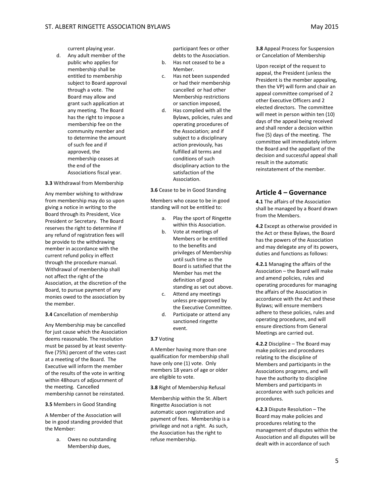current playing year.

d. Any adult member of the public who applies for membership shall be entitled to membership subject to Board approval through a vote. The Board may allow and grant such application at any meeting. The Board has the right to impose a membership fee on the community member and to determine the amount of such fee and if approved, the membership ceases at the end of the Associations fiscal year.

#### **3.3** Withdrawal from Membership

Any member wishing to withdraw from membership may do so upon giving a notice in writing to the Board through its President, Vice President or Secretary. The Board reserves the right to determine if any refund of registration fees will be provide to the withdrawing member in accordance with the current refund policy in effect through the procedure manual. Withdrawal of membership shall not affect the right of the Association, at the discretion of the Board, to pursue payment of any monies owed to the association by the member.

**3.4** Cancellation of membership

Any Membership may be cancelled for just cause which the Association deems reasonable. The resolution must be passed by at least seventyfive (75%) percent of the votes cast at a meeting of the Board. The Executive will inform the member of the results of the vote in writing within 48hours of adjournment of the meeting. Cancelled membership cannot be reinstated.

**3.5** Members in Good Standing

A Member of the Association will be in good standing provided that the Member:

> a. Owes no outstanding Membership dues,

participant fees or other debts to the Association.

- b. Has not ceased to be a Member.
- c. Has not been suspended or had their membership cancelled or had other Membership restrictions or sanction imposed,
- d. Has complied with all the Bylaws, policies, rules and operating procedures of the Association; and if subject to a disciplinary action previously, has fulfilled all terms and conditions of such disciplinary action to the satisfaction of the Association.

**3.6** Cease to be in Good Standing

Members who cease to be in good standing will not be entitled to:

- a. Play the sport of Ringette within this Association.
- b. Vote at meetings of Members or be entitled to the benefits and privileges of Membership until such time as the Board is satisfied that the Member has met the definition of good standing as set out above.
- c. Attend any meetings unless pre-approved by the Executive Committee.
- d. Participate or attend any sanctioned ringette event.

#### **3.7** Voting

A Member having more than one qualification for membership shall have only one (1) vote. Only members 18 years of age or older are eligible to vote.

**3.8** Right of Membership Refusal

Membership within the St. Albert Ringette Association is not automatic upon registration and payment of fees. Membership is a privilege and not a right. As such, the Association has the right to refuse membership.

**3.8** Appeal Process for Suspension or Cancelation of Membership

Upon receipt of the request to appeal, the President (unless the President is the member appealing, then the VP) will form and chair an appeal committee comprised of 2 other Executive Officers and 2 elected directors. The committee will meet in person within ten (10) days of the appeal being received and shall render a decision within five (5) days of the meeting. The committee will immediately inform the Board and the appellant of the decision and successful appeal shall result in the automatic reinstatement of the member.

# <span id="page-4-0"></span>**Article 4 – Governance**

**4.1** The affairs of the Association shall be managed by a Board drawn from the Members.

**4.2** Except as otherwise provided in the Act or these Bylaws, the Board has the powers of the Association and may delegate any of its powers, duties and functions as follows:

**4.2.1** Managing the affairs of the Association – the Board will make and amend policies, rules and operating procedures for managing the affairs of the Association in accordance with the Act and these Bylaws; will ensure members adhere to these policies, rules and operating procedures, and will ensure directions from General Meetings are carried out.

**4.2.2** Discipline – The Board may make policies and procedures relating to the discipline of Members and participants in the Associations programs, and will have the authority to discipline Members and participants in accordance with such policies and procedures.

**4.2.3** Dispute Resolution – The Board may make policies and procedures relating to the management of disputes within the Association and all disputes will be dealt with in accordance of such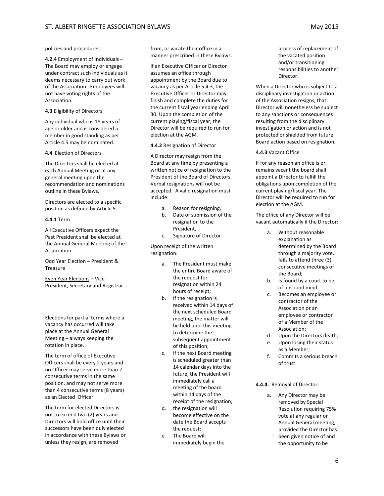policies and procedures;

**4.2.4** Employment of Individuals – The Board may employ or engage under contract such individuals as it deems necessary to carry out work of the Association. Employees will not have voting rights of the Association.

#### **4.3** Eligibility of Directors

Any individual who is 18 years of age or older and is considered a member in good standing as per Article 4.5 may be nominated.

#### **4.4** Election of Directors

The Directors shall be elected at each Annual Meeting or at any general meeting upon the recommendation and nominations outline in these Bylaws.

Directors are elected to a specific position as defined by Article 5.

#### **4.4.1** Term

All Executive Officers expect the Past President shall be elected at the Annual General Meeting of the Association:

Odd Year Election – President & Treasure

Even Year Elections – Vice-President, Secretary and Registrar

Elections for partial terms where a vacancy has occurred will take place at the Annual General Meeting – always keeping the rotation in place.

The term of office of Executive Officers shall be every 2 years and no Officer may serve more than 2 consecutive terms in the same position, and may not serve more than 4 consecutive terms (8 years) as an Elected Officer.

The term for elected Directors is not to exceed two (2) years and Directors will hold office until their successors have been duly elected in accordance with these Bylaws or unless they resign, are removed

from, or vacate their office in a manner prescribed in these Bylaws.

If an Executive Officer or Director assumes an office through appointment by the Board due to vacancy as per Article 5.4.3, the Executive Officer or Director may finish and complete the duties for the current fiscal year ending April 30. Upon the completion of the current playing/fiscal year, the Director will be required to run for election at the AGM.

#### **4.4.2** Resignation of Director

A Director may resign from the Board at any time by presenting a written notice of resignation to the President of the Board of Directors. Verbal resignations will not be accepted. A valid resignation must include:

- a. Reason for resigning,
- b. Date of submission of the resignation to the President,
- c. Signature of Director

Upon receipt of the written resignation:

- a. The President must make the entire Board aware of the request for resignation within 24 hours of receipt;
- b. If the resignation is received within 14 days of the next scheduled Board meeting, the matter will be held until this meeting to determine the subsequent appointment of this position;
- c. If the next Board meeting is scheduled greater than 14 calendar days into the future, the President will immediately call a meeting of the board within 14 days of the receipt of the resignation;
- d. the resignation will become effective on the date the Board accepts the request;
- e. The Board will immediately begin the

process of replacement of the vacated position and/or transitioning responsibilities to another Director.

When a Director who is subject to a disciplinary investigation or action of the Association resigns, that Director will nonetheless be subject to any sanctions or consequences resulting from the disciplinary investigation or action and is not protected or shielded from future Board action based on resignation.

#### **4.4.3** Vacant Office

If for any reason an office is or remains vacant the board shall appoint a Director to fulfill the obligations upon completion of the current playing/fiscal year. The Director will be required to run for election at the AGM.

The office of any Director will be vacant automatically if the Director:

- a. Without reasonable explanation as determined by the Board through a majority vote, fails to attend three (3) consecutive meetings of the Board;
- b. Is found by a court to be of unsound mind;
- c. Becomes an employee or contractor of the Association or an employee or contractor of a Member of the Association;
- d. Upon the Directors death;
- e. Upon losing their status as a Member;
- f. Commits a serious breach of trust.

#### **4.4.4.** Removal of Director:

a. Any Director may be removed by Special Resolution requiring 75% vote at any regular or Annual General meeting, provided the Director has been given notice of and the opportunity to be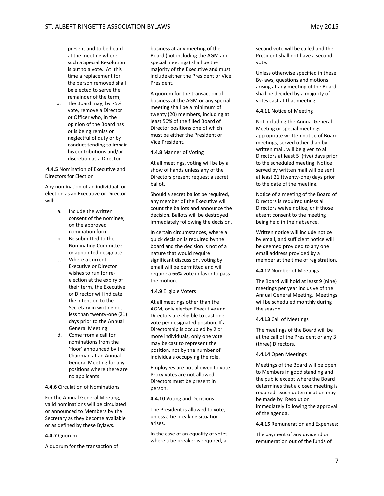present and to be heard at the meeting where such a Special Resolution is put to a vote. At this time a replacement for the person removed shall be elected to serve the remainder of the term;

b. The Board may, by 75% vote, remove a Director or Officer who, in the opinion of the Board has or is being remiss or neglectful of duty or by conduct tending to impair his contributions and/or discretion as a Director.

#### **4.4.5** Nomination of Executive and Directors for Election

Any nomination of an individual for election as an Executive or Director will:

- a. Include the written consent of the nominee; on the approved nomination form
- b. Be submitted to the Nominating Committee or appointed designate
- c. Where a current Executive or Director wishes to run for reelection at the expiry of their term, the Executive or Director will indicate the intention to the Secretary in writing not less than twenty-one (21) days prior to the Annual General Meeting
- d. Come from a call for nominations from the 'floor' announced by the Chairman at an Annual General Meeting for any positions where there are no applicants.

#### **4.4.6** Circulation of Nominations:

For the Annual General Meeting, valid nominations will be circulated or announced to Members by the Secretary as they become available or as defined by these Bylaws.

#### **4.4.7** Quorum

A quorum for the transaction of

business at any meeting of the Board (not including the AGM and special meetings) shall be the majority of the Executive and must include either the President or Vice President.

A quorum for the transaction of business at the AGM or any special meeting shall be a minimum of twenty (20) members, including at least 50% of the filled Board of Director positions one of which must be either the President or Vice President.

#### **4.4.8** Manner of Voting

At all meetings, voting will be by a show of hands unless any of the Directors present request a secret ballot.

Should a secret ballot be required, any member of the Executive will count the ballots and announce the decision. Ballots will be destroyed immediately following the decision.

In certain circumstances, where a quick decision is required by the board and the decision is not of a nature that would require significant discussion, voting by email will be permitted and will require a 66% vote in favor to pass the motion.

#### **4.4.9** Eligible Voters

At all meetings other than the AGM, only elected Executive and Directors are eligible to cast one vote per designated position. If a Directorship is occupied by 2 or more individuals, only one vote may be cast to represent the position, not by the number of individuals occupying the role.

Employees are not allowed to vote. Proxy votes are not allowed. Directors must be present in person.

#### **4.4.10** Voting and Decisions

The President is allowed to vote, unless a tie breaking situation arises.

In the case of an equality of votes where a tie breaker is required, a

second vote will be called and the President shall not have a second vote.

Unless otherwise specified in these By-laws, questions and motions arising at any meeting of the Board shall be decided by a majority of votes cast at that meeting.

#### **4.4.11** Notice of Meeting

Not including the Annual General Meeting or special meetings, appropriate written notice of Board meetings, served other than by written mail, will be given to all Directors at least 5 (five) days prior to the scheduled meeting. Notice served by written mail will be sent at least 21 (twenty-one) days prior to the date of the meeting.

Notice of a meeting of the Board of Directors is required unless all Directors waive notice, or if those absent consent to the meeting being held in their absence.

Written notice will include notice by email, and sufficient notice will be deemed provided to any one email address provided by a member at the time of registration.

#### **4.4.12** Number of Meetings

The Board will hold at least 9 (nine) meetings per year inclusive of the Annual General Meeting. Meetings will be scheduled monthly during the season.

#### **4.4.13** Call of Meetings

The meetings of the Board will be at the call of the President or any 3 (three) Directors.

#### **4.4.14** Open Meetings

Meetings of the Board will be open to Members in good standing and the public except where the Board determines that a closed meeting is required. Such determination may be made by Resolution immediately following the approval of the agenda.

**4.4.15** Remuneration and Expenses:

The payment of any dividend or remuneration out of the funds of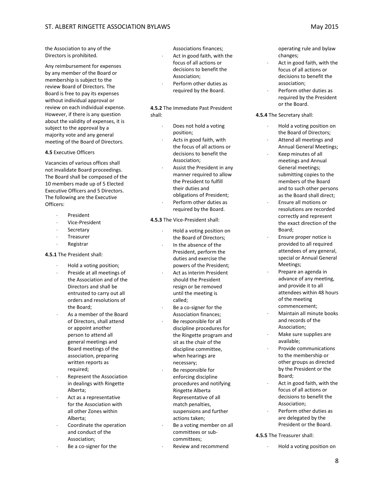the Association to any of the Directors is prohibited.

Any reimbursement for expenses by any member of the Board or membership is subject to the review Board of Directors. The Board is free to pay its expenses without individual approval or review on each individual expense. However, if there is any question about the validity of expenses, it is subject to the approval by a majority vote and any general meeting of the Board of Directors.

#### **4.5** Executive Officers

Vacancies of various offices shall not invalidate Board proceedings. The Board shall be composed of the 10 members made up of 5 Elected Executive Officers and 5 Directors. The following are the Executive Officers:

- **President**
- ⋅ Vice-President
- **Secretary**
- ⋅ Treasurer
- ⋅ Registrar

**4.5.1** The President shall:

- ⋅ Hold a voting position;
- Preside at all meetings of the Association and of the Directors and shall be entrusted to carry out all orders and resolutions of the Board;
- As a member of the Board of Directors, shall attend or appoint another person to attend all general meetings and Board meetings of the association, preparing written reports as required;
- Represent the Association in dealings with Ringette Alberta;
- Act as a representative for the Association with all other Zones within Alberta;
- ⋅ Coordinate the operation and conduct of the Association;
- Be a co-signer for the

Associations finances;

- Act in good faith, with the focus of all actions or decisions to benefit the Association;
- Perform other duties as required by the Board.

#### **4.5.2** The Immediate Past President shall:

- Does not hold a voting position;
- Acts in good faith, with the focus of all actions or decisions to benefit the Association;
- Assist the President in any manner required to allow the President to fulfill their duties and obligations of President;
- Perform other duties as required by the Board.

**4.5.3** The Vice-President shall:

- ⋅ Hold a voting position on the Board of Directors; In the absence of the President, perform the duties and exercise the powers of the President;
- Act as interim President should the President resign or be removed until the meeting is called;
- Be a co-signer for the Association finances; Be responsible for all discipline procedures for
- the Ringette program and sit as the chair of the discipline committee, when hearings are necessary;
- Be responsible for enforcing discipline procedures and notifying Ringette Alberta Representative of all match penalties, suspensions and further actions taken;
- Be a voting member on all committees or subcommittees;
- Review and recommend

operating rule and bylaw changes;

- Act in good faith, with the focus of all actions or decisions to benefit the association;
- Perform other duties as required by the President or the Board.

#### **4.5.4** The Secretary shall:

- ⋅ Hold a voting position on the Board of Directors;
- Attend all meetings and Annual General Meetings;
- ⋅ Keep minutes of all meetings and Annual General meetings; submitting copies to the members of the Board and to such other persons as the Board shall direct;
- ⋅ Ensure all motions or resolutions are recorded correctly and represent the exact direction of the Board;
- Ensure proper notice is provided to all required attendees of any general, special or Annual General Meetings;
- ⋅ Prepare an agenda in advance of any meeting, and provide it to all attendees within 48 hours of the meeting commencement;
- ⋅ Maintain all minute books and records of the Association;
- Make sure supplies are available;
- Provide communications to the membership or other groups as directed by the President or the Board;
- Act in good faith, with the focus of all actions or decisions to benefit the Association;
- Perform other duties as are delegated by the President or the Board.
- **4.5.5** The Treasurer shall:
	- ⋅ Hold a voting position on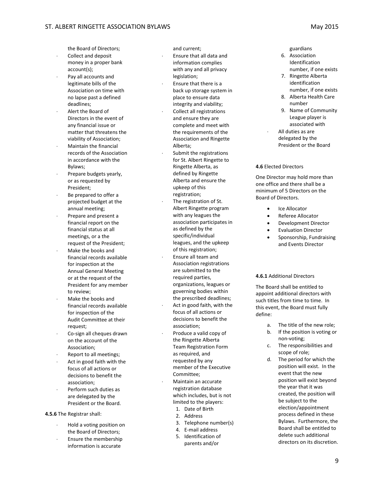the Board of Directors;

- Collect and deposit money in a proper bank account(s);
- Pay all accounts and legitimate bills of the Association on time with no lapse past a defined deadlines;
- ⋅ Alert the Board of Directors in the event of any financial issue or matter that threatens the viability of Association;
- Maintain the financial records of the Association in accordance with the Bylaws;
- Prepare budgets yearly, or as requested by President;
- Be prepared to offer a projected budget at the annual meeting;
- Prepare and present a financial report on the financial status at all meetings, or a the request of the President;
- Make the books and financial records available for inspection at the Annual General Meeting or at the request of the President for any member to review;
- Make the books and financial records available for inspection of the Audit Committee at their request;
- Co-sign all cheques drawn on the account of the Association;
- Report to all meetings;
- Act in good faith with the focus of all actions or decisions to benefit the association;
- Perform such duties as are delegated by the President or the Board.

**4.5.6** The Registrar shall:

- ⋅ Hold a voting position on the Board of Directors;
- Ensure the membership information is accurate

and current;

- ⋅ Ensure that all data and information complies with any and all privacy legislation;
- Ensure that there is a back up storage system in place to ensure data integrity and viability;
- Collect all registrations and ensure they are complete and meet with the requirements of the Association and Ringette Alberta;
- Submit the registrations for St. Albert Ringette to Ringette Alberta, as defined by Ringette Alberta and ensure the upkeep of this registration;
- The registration of St. Albert Ringette program with any leagues the association participates in as defined by the specific/individual leagues, and the upkeep
- of this registration; ⋅ Ensure all team and Association registrations are submitted to the required parties, organizations, leagues or governing bodies within
- the prescribed deadlines; Act in good faith, with the focus of all actions or decisions to benefit the association;
- Produce a valid copy of the Ringette Alberta Team Registration Form as required, and requested by any member of the Executive Committee;
- ⋅ Maintain an accurate registration database which includes, but is not limited to the players:
	- 1. Date of Birth
	- 2. Address
	- 3. Telephone number(s)
	- 4. E-mail address
	- 5. Identification of parents and/or

guardians

- 6. Association Identification number, if one exists
- 7. Ringette Alberta identification number, if one exists
- 8. Alberta Health Care number
- 9. Name of Community League player is associated with
- All duties as are delegated by the President or the Board

#### **4.6** Elected Directors

One Director may hold more than one office and there shall be a minimum of 5 Directors on the Board of Directors.

- Ice Allocator
- Referee Allocator
- Development Director
- Evaluation Director
- Sponsorship, Fundraising and Events Director

#### **4.6.1** Additional Directors

The Board shall be entitled to appoint additional directors with such titles from time to time. In this event, the Board must fully define:

- a. The title of the new role;
- b. If the position is voting or non-voting;
- c. The responsibilities and scope of role;
- d. The period for which the position will exist. In the event that the new position will exist beyond the year that it was created, the position will be subject to the election/appointment process defined in these Bylaws. Furthermore, the Board shall be entitled to delete such additional directors on its discretion.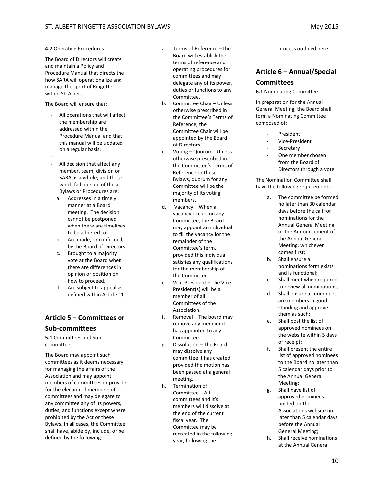#### **4.7** Operating Procedures

The Board of Directors will create and maintain a Policy and Procedure Manual that directs the how SARA will operationalize and manage the sport of Ringette within St. Albert.

The Board will ensure that:

- All operations that will affect the membership are addressed within the Procedure Manual and that this manual will be updated on a regular basis;
- ⋅ All decision that affect any member, team, division or SARA as a whole; and those which fall outside of these Bylaws or Procedures are:
	- a. Addresses in a timely manner at a Board meeting. The decision cannot be postponed when there are timelines to be adhered to.
	- b. Are made, or confirmed, by the Board of Directors.
	- c. Brought to a majority vote at the Board when there are differences in opinion or position on how to proceed.
	- d. Are subject to appeal as defined within Article 11.

# <span id="page-9-0"></span>**Article 5 – Committees or Sub-committees**

**5.1** Committees and Subcommittees

The Board may appoint such committees as it deems necessary for managing the affairs of the Association and may appoint members of committees or provide for the election of members of committees and may delegate to any committee any of its powers, duties, and functions except where prohibited by the Act or these Bylaws. In all cases, the Committee shall have, abide by, include, or be defined by the following:

- a. Terms of Reference the Board will establish the terms of reference and operating procedures for committees and may delegate any of its power, duties or functions to any Committee.
- b. Committee Chair Unless otherwise prescribed in the Committee's Terms of Reference, the Committee Chair will be appointed by the Board of Directors.
- c. Voting Quorum Unless otherwise prescribed in the Committee's Terms of Reference or these Bylaws, quorum for any Committee will be the majority of its voting members.
- d. Vacancy When a vacancy occurs on any Committee, the Board may appoint an individual to fill the vacancy for the remainder of the Committee's term, provided this individual satisfies any qualifications for the membership of the Committee.
- e. Vice-President The Vice President(s) will be a member of all Committees of the Association.
- f. Removal The board may remove any member it has appointed to any Committee.
- g. Dissolution The Board may dissolve any committee it has created provided the motion has been passed at a general meeting.
- h. Termination of Committee – All committees and it's members will dissolve at the end of the current fiscal year. The Committee may be recreated in the following year, following the

process outlined here.

# <span id="page-9-1"></span>**Article 6 – Annual/Special Committees**

**6.1** Nominating Committee

In preparation for the Annual General Meeting, the Board shall form a Nominating Committee composed of:

- ⋅ President
- ⋅ Vice-President
- **Secretary**
- One member chosen from the Board of Directors through a vote

The Nomination Committee shall have the following requirements:

- a. The committee be formed no later than 30 calendar days before the call for nominations for the Annual General Meeting or the Announcement of the Annual General Meeting, whichever comes first;
- b. Shall ensure a nominations form exists and is functional;
- c. Shall meet when required to review all nominations;
- d. Shall ensure all nominees are members in good standing and approve them as such;
- e. Shall post the list of approved nominees on the website within 5 days of receipt;
- f. Shall present the entire list of approved nominees to the Board no later than 5 calendar days prior to the Annual General Meeting;
- g. Shall have list of approved nominees posted on the Associations website no later than 5 calendar days before the Annual General Meeting;
- h. Shall receive nominations at the Annual General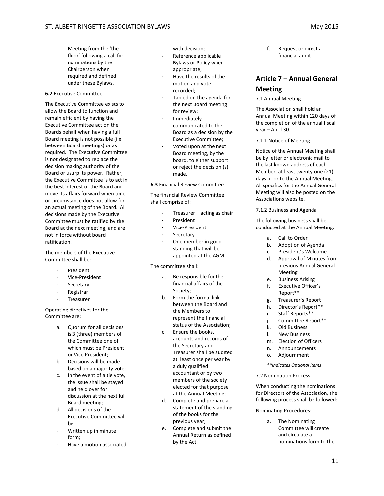Meeting from the 'the floor' following a call for nominations by the Chairperson when required and defined under these Bylaws.

#### **6.2** Executive Committee

The Executive Committee exists to allow the Board to function and remain efficient by having the Executive Committee act on the Boards behalf when having a full Board meeting is not possible (i.e. between Board meetings) or as required. The Executive Committee is not designated to replace the decision making authority of the Board or usurp its power. Rather, the Executive Committee is to act in the best interest of the Board and move its affairs forward when time or circumstance does not allow for an actual meeting of the Board. All decisions made by the Executive Committee must be ratified by the Board at the next meeting, and are not in force without board ratification.

The members of the Executive Committee shall be:

- ⋅ President
- ⋅ Vice-President
- **Secretary**
- **Registrar**
- ⋅ Treasurer

#### Operating directives for the Committee are:

- a. Quorum for all decisions is 3 (three) members of the Committee one of which must be President or Vice President;
- b. Decisions will be made based on a majority vote;
- c. In the event of a tie vote, the issue shall be stayed and held over for discussion at the next full Board meeting;
- d. All decisions of the Executive Committee will be:
- Written up in minute form;
- Have a motion associated

with decision;

- Reference applicable Bylaws or Policy when appropriate;
- Have the results of the motion and vote recorded;
- Tabled on the agenda for the next Board meeting for review;
- ⋅ Immediately communicated to the Board as a decision by the Executive Committee;
- Voted upon at the next Board meeting, by the board, to either support or reject the decision (s) made.

#### **6.3** Financial Review Committee

The financial Review Committee shall comprise of:

- Treasurer acting as chair
- ⋅ President
- ⋅ Vice-President
- **Secretary**
- One member in good standing that will be appointed at the AGM

The committee shall:

- a. Be responsible for the financial affairs of the Society;
- b. Form the formal link between the Board and the Members to represent the financial status of the Association;
- c. Ensure the books, accounts and records of the Secretary and Treasurer shall be audited at least once per year by a duly qualified accountant or by two members of the society elected for that purpose at the Annual Meeting;
- d. Complete and prepare a statement of the standing of the books for the previous year;
- e. Complete and submit the Annual Return as defined by the Act.

f. Request or direct a financial audit

# <span id="page-10-0"></span>**Article 7 – Annual General**

# **Meeting**

#### 7.1 Annual Meeting

The Association shall hold an Annual Meeting within 120 days of the completion of the annual fiscal year – April 30.

7.1.1 Notice of Meeting

Notice of the Annual Meeting shall be by letter or electronic mail to the last known address of each Member, at least twenty-one (21) days prior to the Annual Meeting. All specifics for the Annual General Meeting will also be posted on the Associations website.

7.1.2 Business and Agenda

The following business shall be conducted at the Annual Meeting:

- a. Call to Order
- b. Adoption of Agenda
- c. President's Welcome
- d. Approval of Minutes from previous Annual General Meeting
- e. Business Arising
- f. Executive Officer's
- Report\*\*
- g. Treasurer's Report
- h. Director's Report\*\*
- i. Staff Reports\*\*
- j. Committee Report\*\* k. Old Business
- l. New Business
- m. Election of Officers
- n. Announcements
- o. Adjournment
- *\*\*Indicates Optional Items*

7.2 Nomination Process

When conducting the nominations for Directors of the Association, the following process shall be followed:

Nominating Procedures:

a. The Nominating Committee will create and circulate a nominations form to the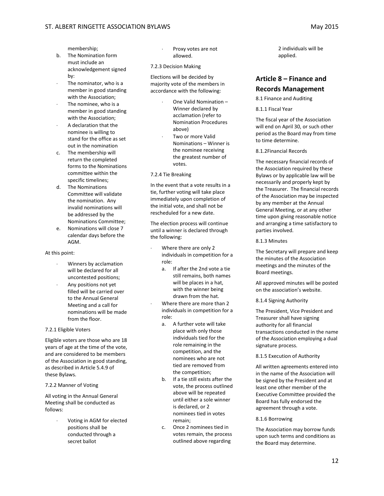membership;

- b. The Nomination form must include an acknowledgement signed by:
- The nominator, who is a member in good standing with the Association;
- The nominee, who is a member in good standing with the Association;
- A declaration that the nominee is willing to stand for the office as set out in the nomination
- c. The membership will return the completed forms to the Nominations committee within the specific timelines;
- d. The Nominations Committee will validate the nomination. Any invalid nominations will be addressed by the Nominations Committee;
- e. Nominations will close 7 calendar days before the AGM.

#### At this point:

- Winners by acclamation will be declared for all uncontested positions;
- Any positions not yet filled will be carried over to the Annual General Meeting and a call for nominations will be made from the floor.

#### 7.2.1 Eligible Voters

Eligible voters are those who are 18 years of age at the time of the vote, and are considered to be members of the Association in good standing, as described in Article 5.4.9 of these Bylaws.

#### 7.2.2 Manner of Voting

All voting in the Annual General Meeting shall be conducted as follows:

> Voting in AGM for elected positions shall be conducted through a secret ballot

- Proxy votes are not allowed.
- 7.2.3 Decision Making

Elections will be decided by majority vote of the members in accordance with the following:

- ⋅ One Valid Nomination Winner declared by acclamation (refer to Nomination Procedures above)
- ⋅ Two or more Valid Nominations – Winner is the nominee receiving the greatest number of votes.

7.2.4 Tie Breaking

In the event that a vote results in a tie, further voting will take place immediately upon completion of the initial vote, and shall not be rescheduled for a new date.

The election process will continue until a winner is declared through the following:

- Where there are only 2 individuals in competition for a role:
	- a. If after the 2nd vote a tie still remains, both names will be places in a hat, with the winner being drawn from the hat.
- Where there are more than 2 individuals in competition for a role:
	- a. A further vote will take place with only those individuals tied for the role remaining in the competition, and the nominees who are not tied are removed from the competition;
	- b. If a tie still exists after the vote, the process outlined above will be repeated until either a sole winner is declared, or 2 nominees tied in votes remain;
	- c. Once 2 nominees tied in votes remain, the process outlined above regarding

2 individuals will be applied.

# <span id="page-11-0"></span>**Article 8 – Finance and**

## **Records Management**

8.1 Finance and Auditing

#### 8.1.1 Fiscal Year

The fiscal year of the Association will end on April 30, or such other period as the Board may from time to time determine.

8.1.2Financial Records

The necessary financial records of the Association required by these Bylaws or by applicable law will be necessarily and properly kept by the Treasurer. The financial records of the Association may be inspected by any member at the Annual General Meeting, or at any other time upon giving reasonable notice and arranging a time satisfactory to parties involved.

8.1.3 Minutes

The Secretary will prepare and keep the minutes of the Association meetings and the minutes of the Board meetings.

All approved minutes will be posted on the association's website.

8.1.4 Signing Authority

The President, Vice President and Treasurer shall have signing authority for all financial transactions conducted in the name of the Association employing a dual signature process.

8.1.5 Execution of Authority

All written agreements entered into in the name of the Association will be signed by the President and at least one other member of the Executive Committee provided the Board has fully endorsed the agreement through a vote.

8.1.6 Borrowing

The Association may borrow funds upon such terms and conditions as the Board may determine.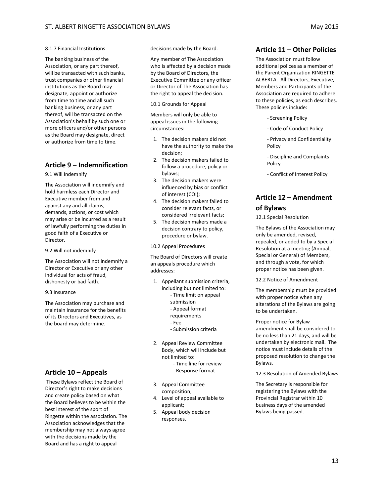#### 8.1.7 Financial Institutions

The banking business of the Association, or any part thereof, will be transacted with such banks, trust companies or other financial institutions as the Board may designate, appoint or authorize from time to time and all such banking business, or any part thereof, will be transacted on the Association's behalf by such one or more officers and/or other persons as the Board may designate, direct or authorize from time to time.

### <span id="page-12-0"></span>**Article 9 – Indemnification**

9.1 Will Indemnify

The Association will indemnify and hold harmless each Director and Executive member from and against any and all claims, demands, actions, or cost which may arise or be incurred as a result of lawfully performing the duties in good faith of a Executive or Director.

9.2 Will not indemnify

The Association will not indemnify a Director or Executive or any other individual for acts of fraud, dishonesty or bad faith.

9.3 Insurance

The Association may purchase and maintain insurance for the benefits of its Directors and Executives, as the board may determine.

#### <span id="page-12-1"></span>**Article 10 – Appeals**

These Bylaws reflect the Board of Director's right to make decisions and create policy based on what the Board believes to be within the best interest of the sport of Ringette within the association. The Association acknowledges that the membership may not always agree with the decisions made by the Board and has a right to appeal

decisions made by the Board.

Any member of The Association who is affected by a decision made by the Board of Directors, the Executive Committee or any officer or Director of The Association has the right to appeal the decision.

10.1 Grounds for Appeal

Members will only be able to appeal issues in the following circumstances:

- 1. The decision makers did not have the authority to make the decision;
- 2. The decision makers failed to follow a procedure, policy or bylaws;
- 3. The decision makers were influenced by bias or conflict of interest (COI);
- 4. The decision makers failed to consider relevant facts, or considered irrelevant facts;
- 5. The decision makers made a decision contrary to policy, procedure or bylaw.

10.2 Appeal Procedures

The Board of Directors will create an appeals procedure which addresses:

- 1. Appellant submission criteria, including but not limited to:
	- Time limit on appeal
	- submission
	- Appeal format
	- requirements
	- Fee
	- Submission criteria
- 2. Appeal Review Committee Body, which will include but not limited to:
	- Time line for review
	- Response format
- 3. Appeal Committee composition;
- 4. Level of appeal available to applicant;
- 5. Appeal body decision responses.

#### <span id="page-12-2"></span>**Article 11 – Other Policies**

The Association must follow additional polices as a member of the Parent Organization RINGETTE ALBERTA. All Directors, Executive, Members and Participants of the Association are required to adhere to these policies, as each describes. These policies include:

- Screening Policy
- Code of Conduct Policy
- Privacy and Confidentiality Policy
- Discipline and Complaints Policy
- Conflict of Interest Policy

# <span id="page-12-3"></span>**Article 12 – Amendment of Bylaws**

12.1 Special Resolution

The Bylaws of the Association may only be amended, revised, repealed, or added to by a Special Resolution at a meeting (Annual, Special or General) of Members, and through a vote, for which proper notice has been given.

12.2 Notice of Amendment

The membership must be provided with proper notice when any alterations of the Bylaws are going to be undertaken.

Proper notice for Bylaw amendment shall be considered to be no less than 21 days, and will be undertaken by electronic mail. The notice must include details of the proposed resolution to change the Bylaws.

12.3 Resolution of Amended Bylaws

The Secretary is responsible for registering the Bylaws with the Provincial Registrar within 10 business days of the amended Bylaws being passed.